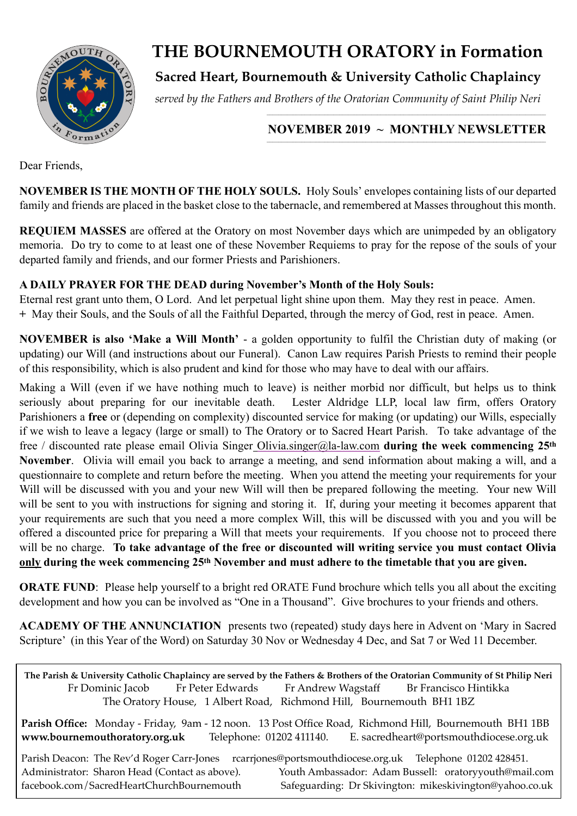

# **THE BOURNEMOUTH ORATORY in Formation**

# **Sacred Heart, Bournemouth & University Catholic Chaplaincy**

*served by the Fathers and Brothers of the Oratorian Community of Saint Philip Neri*

#### **NOVEMBER 2019 ~ MONTHLY NEWSLETTER**   $\_$  , and the state of the state of the state of the state of the state of the state of the state of the state of the state of the state of the state of the state of the state of the state of the state of the state of the

Dear Friends,

**NOVEMBER IS THE MONTH OF THE HOLY SOULS.** Holy Souls' envelopes containing lists of our departed family and friends are placed in the basket close to the tabernacle, and remembered at Masses throughout this month.

**REQUIEM MASSES** are offered at the Oratory on most November days which are unimpeded by an obligatory memoria. Do try to come to at least one of these November Requiems to pray for the repose of the souls of your departed family and friends, and our former Priests and Parishioners.

### **A DAILY PRAYER FOR THE DEAD during November's Month of the Holy Souls:**

Eternal rest grant unto them, O Lord. And let perpetual light shine upon them. May they rest in peace. Amen. **+** May their Souls, and the Souls of all the Faithful Departed, through the mercy of God, rest in peace. Amen.

**NOVEMBER is also 'Make a Will Month'** - a golden opportunity to fulfil the Christian duty of making (or updating) our Will (and instructions about our Funeral). Canon Law requires Parish Priests to remind their people of this responsibility, which is also prudent and kind for those who may have to deal with our affairs.

Making a Will (even if we have nothing much to leave) is neither morbid nor difficult, but helps us to think seriously about preparing for our inevitable death. Lester Aldridge LLP, local law firm, offers Oratory Parishioners a **free** or (depending on complexity) discounted service for making (or updating) our Wills, especially if we wish to leave a legacy (large or small) to The Oratory or to Sacred Heart Parish. To take advantage of the free / discounted rate please email Olivia Singer [Olivia.singer@la-law.com](mailto:Olivia.singer@la-law.com) **during the week commencing 25th November**. Olivia will email you back to arrange a meeting, and send information about making a will, and a questionnaire to complete and return before the meeting. When you attend the meeting your requirements for your Will will be discussed with you and your new Will will then be prepared following the meeting. Your new Will will be sent to you with instructions for signing and storing it. If, during your meeting it becomes apparent that your requirements are such that you need a more complex Will, this will be discussed with you and you will be offered a discounted price for preparing a Will that meets your requirements. If you choose not to proceed there will be no charge. **To take advantage of the free or discounted will writing service you must contact Olivia only during the week commencing 25th November and must adhere to the timetable that you are given.** 

**ORATE FUND**: Please help yourself to a bright red ORATE Fund brochure which tells you all about the exciting development and how you can be involved as "One in a Thousand". Give brochures to your friends and others.

**ACADEMY OF THE ANNUNCIATION** presents two (repeated) study days here in Advent on 'Mary in Sacred Scripture' (in this Year of the Word) on Saturday 30 Nov or Wednesday 4 Dec, and Sat 7 or Wed 11 December.

**The Parish & University Catholic Chaplaincy are served by the Fathers & Brothers of the Oratorian Community of St Philip Neri** Fr Dominic Jacob Fr Peter Edwards Fr Andrew Wagstaff Br Francisco Hintikka The Oratory House, 1 Albert Road, Richmond Hill, Bournemouth BH1 1BZ **Parish Office:** Monday - Friday, 9am - 12 noon. 13 Post Office Road, Richmond Hill, Bournemouth BH1 1BB **[www.bournemouthoratory.org.uk](http://www.bournemoithoratory.org.uk)** Telephone: 01202 411140. E. [sacredheart@portsmouthdiocese.org.uk](mailto:sacredheart@portsmouthdiocese.org.uk)

Parish Deacon: The Rev'd Roger Carr-Jones [rcarrjones@portsmouthdiocese.org.uk](mailto:rcarrjones@portsmouthdiocese.org.uk) Telephone 01202 428451. Administrator: Sharon Head (Contact as above). Youth Ambassador: Adam Bussell: [oratoryyouth@mail.com](http://oratoryyouth.mail.com) [facebook.com/SacredHeartChurchBournemouth](http://facebook.com/SaccredHeartChurchBournemouth) Safeguarding: Dr Skivington: mikeskivington@yahoo.co.uk